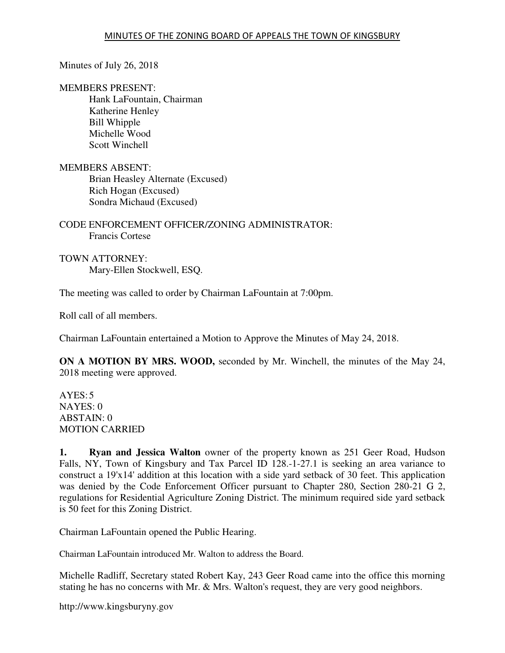Minutes of July 26, 2018

MEMBERS PRESENT:

 Hank LaFountain, Chairman Katherine Henley Bill Whipple Michelle Wood Scott Winchell

MEMBERS ABSENT:

 Brian Heasley Alternate (Excused) Rich Hogan (Excused) Sondra Michaud (Excused)

# CODE ENFORCEMENT OFFICER/ZONING ADMINISTRATOR: Francis Cortese

TOWN ATTORNEY: Mary-Ellen Stockwell, ESQ.

The meeting was called to order by Chairman LaFountain at 7:00pm.

Roll call of all members.

Chairman LaFountain entertained a Motion to Approve the Minutes of May 24, 2018.

**ON A MOTION BY MRS. WOOD,** seconded by Mr. Winchell, the minutes of the May 24, 2018 meeting were approved.

 $AYES:5$ NAYES: 0 ABSTAIN: 0 MOTION CARRIED

**1. Ryan and Jessica Walton** owner of the property known as 251 Geer Road, Hudson Falls, NY, Town of Kingsbury and Tax Parcel ID 128.-1-27.1 is seeking an area variance to construct a 19'x14' addition at this location with a side yard setback of 30 feet. This application was denied by the Code Enforcement Officer pursuant to Chapter 280, Section 280-21 G 2, regulations for Residential Agriculture Zoning District. The minimum required side yard setback is 50 feet for this Zoning District.

Chairman LaFountain opened the Public Hearing.

Chairman LaFountain introduced Mr. Walton to address the Board.

Michelle Radliff, Secretary stated Robert Kay, 243 Geer Road came into the office this morning stating he has no concerns with Mr. & Mrs. Walton's request, they are very good neighbors.

http://www.kingsburyny.gov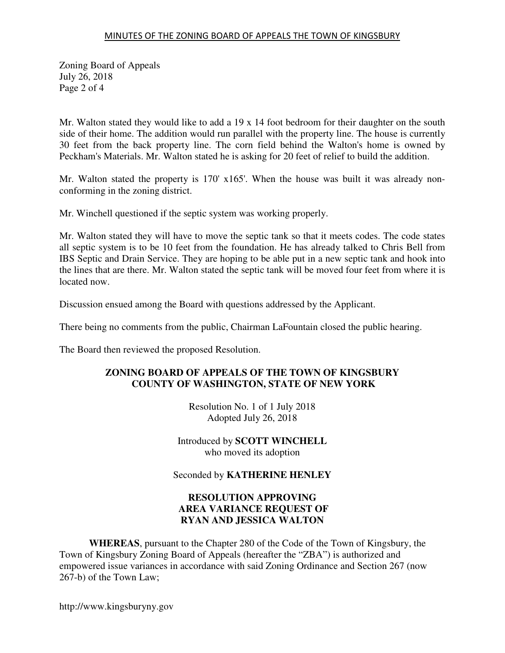## MINUTES OF THE ZONING BOARD OF APPEALS THE TOWN OF KINGSBURY

Zoning Board of Appeals July 26, 2018 Page 2 of 4

Mr. Walton stated they would like to add a 19 x 14 foot bedroom for their daughter on the south side of their home. The addition would run parallel with the property line. The house is currently 30 feet from the back property line. The corn field behind the Walton's home is owned by Peckham's Materials. Mr. Walton stated he is asking for 20 feet of relief to build the addition.

Mr. Walton stated the property is 170' x165'. When the house was built it was already nonconforming in the zoning district.

Mr. Winchell questioned if the septic system was working properly.

Mr. Walton stated they will have to move the septic tank so that it meets codes. The code states all septic system is to be 10 feet from the foundation. He has already talked to Chris Bell from IBS Septic and Drain Service. They are hoping to be able put in a new septic tank and hook into the lines that are there. Mr. Walton stated the septic tank will be moved four feet from where it is located now.

Discussion ensued among the Board with questions addressed by the Applicant.

There being no comments from the public, Chairman LaFountain closed the public hearing.

The Board then reviewed the proposed Resolution.

## **ZONING BOARD OF APPEALS OF THE TOWN OF KINGSBURY COUNTY OF WASHINGTON, STATE OF NEW YORK**

Resolution No. 1 of 1 July 2018 Adopted July 26, 2018

Introduced by **SCOTT WINCHELL** who moved its adoption

Seconded by **KATHERINE HENLEY**

# **RESOLUTION APPROVING AREA VARIANCE REQUEST OF RYAN AND JESSICA WALTON**

**WHEREAS**, pursuant to the Chapter 280 of the Code of the Town of Kingsbury, the Town of Kingsbury Zoning Board of Appeals (hereafter the "ZBA") is authorized and empowered issue variances in accordance with said Zoning Ordinance and Section 267 (now 267-b) of the Town Law;

http://www.kingsburyny.gov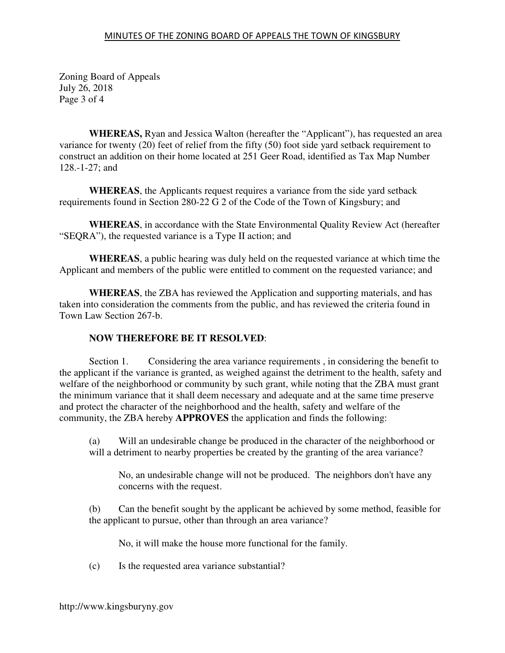Zoning Board of Appeals July 26, 2018 Page 3 of 4

**WHEREAS,** Ryan and Jessica Walton (hereafter the "Applicant"), has requested an area variance for twenty (20) feet of relief from the fifty (50) foot side yard setback requirement to construct an addition on their home located at 251 Geer Road, identified as Tax Map Number 128.-1-27; and

**WHEREAS**, the Applicants request requires a variance from the side yard setback requirements found in Section 280-22 G 2 of the Code of the Town of Kingsbury; and

**WHEREAS**, in accordance with the State Environmental Quality Review Act (hereafter "SEQRA"), the requested variance is a Type II action; and

**WHEREAS**, a public hearing was duly held on the requested variance at which time the Applicant and members of the public were entitled to comment on the requested variance; and

**WHEREAS**, the ZBA has reviewed the Application and supporting materials, and has taken into consideration the comments from the public, and has reviewed the criteria found in Town Law Section 267-b.

# **NOW THEREFORE BE IT RESOLVED**:

 Section 1. Considering the area variance requirements , in considering the benefit to the applicant if the variance is granted, as weighed against the detriment to the health, safety and welfare of the neighborhood or community by such grant, while noting that the ZBA must grant the minimum variance that it shall deem necessary and adequate and at the same time preserve and protect the character of the neighborhood and the health, safety and welfare of the community, the ZBA hereby **APPROVES** the application and finds the following:

(a) Will an undesirable change be produced in the character of the neighborhood or will a detriment to nearby properties be created by the granting of the area variance?

No, an undesirable change will not be produced. The neighbors don't have any concerns with the request.

(b) Can the benefit sought by the applicant be achieved by some method, feasible for the applicant to pursue, other than through an area variance?

No, it will make the house more functional for the family.

(c) Is the requested area variance substantial?